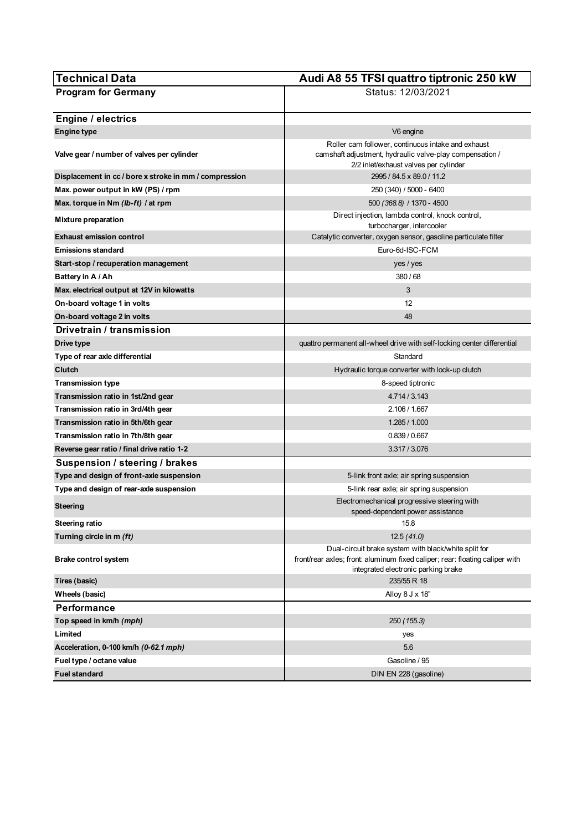| <b>Technical Data</b>                                  | Audi A8 55 TFSI quattro tiptronic 250 kW                                                                       |
|--------------------------------------------------------|----------------------------------------------------------------------------------------------------------------|
| <b>Program for Germany</b>                             | Status: 12/03/2021                                                                                             |
|                                                        |                                                                                                                |
| Engine / electrics                                     |                                                                                                                |
| <b>Engine type</b>                                     | V6 engine                                                                                                      |
| Valve gear / number of valves per cylinder             | Roller cam follower, continuous intake and exhaust<br>camshaft adjustment, hydraulic valve-play compensation / |
|                                                        | 2/2 inlet/exhaust valves per cylinder                                                                          |
| Displacement in cc / bore x stroke in mm / compression | 2995 / 84.5 x 89.0 / 11.2                                                                                      |
| Max. power output in kW (PS) / rpm                     | 250 (340) / 5000 - 6400                                                                                        |
| Max. torque in Nm (lb-ft) / at rpm                     | 500 (368.8) / 1370 - 4500                                                                                      |
| <b>Mixture preparation</b>                             | Direct injection, lambda control, knock control,<br>turbocharger, intercooler                                  |
| <b>Exhaust emission control</b>                        | Catalytic converter, oxygen sensor, gasoline particulate filter                                                |
| <b>Emissions standard</b>                              | Euro-6d-ISC-FCM                                                                                                |
| Start-stop / recuperation management                   | yes / yes                                                                                                      |
| Battery in A / Ah                                      | 380/68                                                                                                         |
| Max. electrical output at 12V in kilowatts             | 3                                                                                                              |
| On-board voltage 1 in volts                            | 12                                                                                                             |
| On-board voltage 2 in volts                            | 48                                                                                                             |
| Drivetrain / transmission                              |                                                                                                                |
| Drive type                                             | quattro permanent all-wheel drive with self-locking center differential                                        |
| Type of rear axle differential                         | Standard                                                                                                       |
| Clutch                                                 | Hydraulic torque converter with lock-up clutch                                                                 |
| <b>Transmission type</b>                               | 8-speed tiptronic                                                                                              |
| Transmission ratio in 1st/2nd gear                     | 4.714 / 3.143                                                                                                  |
| Transmission ratio in 3rd/4th gear                     | 2.106 / 1.667                                                                                                  |
| Transmission ratio in 5th/6th gear                     | 1.285 / 1.000                                                                                                  |
| Transmission ratio in 7th/8th gear                     | 0.839 / 0.667                                                                                                  |
| Reverse gear ratio / final drive ratio 1-2             | 3.317/3.076                                                                                                    |
| Suspension / steering / brakes                         |                                                                                                                |
| Type and design of front-axle suspension               | 5-link front axle; air spring suspension                                                                       |
| Type and design of rear-axle suspension                | 5-link rear axle; air spring suspension                                                                        |
| Steering                                               | Electromechanical progressive steering with<br>speed-dependent power assistance                                |
| Steering ratio                                         | 15.8                                                                                                           |
| Turning circle in m (ft)                               | 12.5(41.0)                                                                                                     |
|                                                        | Dual-circuit brake system with black/white split for                                                           |
| <b>Brake control system</b>                            | front/rear axles; front: aluminum fixed caliper; rear: floating caliper with                                   |
| Tires (basic)                                          | integrated electronic parking brake<br>235/55 R 18                                                             |
| Wheels (basic)                                         | Alloy 8 J x 18"                                                                                                |
| Performance                                            |                                                                                                                |
| Top speed in km/h (mph)                                | 250 (155.3)                                                                                                    |
| Limited                                                | yes                                                                                                            |
| Acceleration, 0-100 km/h (0-62.1 mph)                  | 5.6                                                                                                            |
| Fuel type / octane value                               | Gasoline / 95                                                                                                  |
| <b>Fuel standard</b>                                   | DIN EN 228 (gasoline)                                                                                          |